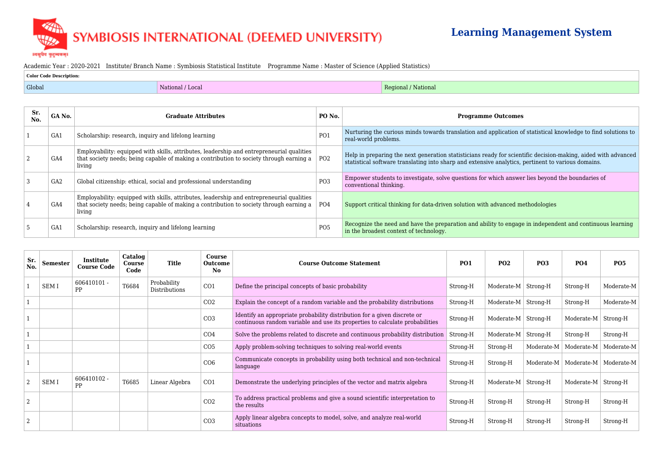## SYMBIOSIS INTERNATIONAL (DEEMED UNIVERSITY)

।वसुघैव कुटुम्बकम्

## **Learning Management System**

## ication of statistical knowledge to find solutions to For scientific decision-making, aided with advanced alytics, pertinent to various domains. h answer lies beyond the boundaries of anced methodologies

 $\overline{\Theta}$  engage in independent and continuous learning

## Academic Year : 2020-2021 Institute/ Branch Name : Symbiosis Statistical Institute Programme Name : Master of Science (Applied Statistics)

| Color Code Description: |                  |                      |  |  |  |  |  |  |
|-------------------------|------------------|----------------------|--|--|--|--|--|--|
| Global                  | National / Local | Regional<br>National |  |  |  |  |  |  |

| Sr.<br>No. | GA No.          | <b>Graduate Attributes</b>                                                                                                                                                                     | PO No.          | <b>Programme Outcomes</b>                                                                                                                    |
|------------|-----------------|------------------------------------------------------------------------------------------------------------------------------------------------------------------------------------------------|-----------------|----------------------------------------------------------------------------------------------------------------------------------------------|
|            | GA <sub>1</sub> | Scholarship: research, inquiry and lifelong learning                                                                                                                                           | PO <sub>1</sub> | Nurturing the curious minds towards translation and application of<br>real-world problems.                                                   |
|            | GA4             | Employability: equipped with skills, attributes, leadership and entrepreneurial qualities<br>that society needs; being capable of making a contribution to society through earning a<br>living | PO <sub>2</sub> | Help in preparing the next generation statisticians ready for scient<br>statistical software translating into sharp and extensive analytics, |
|            | GA <sub>2</sub> | Global citizenship: ethical, social and professional understanding                                                                                                                             | PO <sub>3</sub> | Empower students to investigate, solve questions for which answe<br>conventional thinking.                                                   |
|            | GA4             | Employability: equipped with skills, attributes, leadership and entrepreneurial qualities<br>that society needs; being capable of making a contribution to society through earning a<br>living | PO4             | Support critical thinking for data-driven solution with advanced m                                                                           |
|            | GA1             | Scholarship: research, inquiry and lifelong learning                                                                                                                                           | PO <sub>5</sub> | Recognize the need and have the preparation and ability to engage<br>in the broadest context of technology.                                  |

| Sr.<br>No.     | <b>Semester</b> | Institute<br><b>Course Code</b> | Catalog<br>Course<br>Code | <b>Title</b>                 | Course<br><b>Outcome</b><br>No. | <b>Course Outcome Statement</b>                                                                                                                          | <b>PO1</b> | <b>PO2</b>                   | <b>PO3</b>     | <b>PO4</b> | <b>PO5</b> |
|----------------|-----------------|---------------------------------|---------------------------|------------------------------|---------------------------------|----------------------------------------------------------------------------------------------------------------------------------------------------------|------------|------------------------------|----------------|------------|------------|
|                | <b>SEMI</b>     | $606410101 -$<br>PP             | T6684                     | Probability<br>Distributions | CO <sub>1</sub>                 | Define the principal concepts of basic probability                                                                                                       | Strong-H   | Moderate- $M \vert$ Strong-H |                | Strong-H   | Moderate-M |
|                |                 |                                 |                           |                              | CO <sub>2</sub>                 | Explain the concept of a random variable and the probability distributions                                                                               | Strong-H   | Moderate- $M \vert$ Strong-H |                | Strong-H   | Moderate-M |
|                |                 |                                 |                           |                              | CO <sub>3</sub>                 | Identify an appropriate probability distribution for a given discrete or<br>continuous random variable and use its properties to calculate probabilities | Strong-H   | Moderate- $M \vert$ Strong-H |                | Moderate-M | Strong-H   |
|                |                 |                                 |                           |                              | CO <sub>4</sub>                 | Solve the problems related to discrete and continuous probability distribution                                                                           | Strong-H   | Moderate-M                   | Strong-H       | Strong-H   | Strong-H   |
|                |                 |                                 |                           |                              | CO <sub>5</sub>                 | Apply problem-solving techniques to solving real-world events                                                                                            | Strong-H   | Strong-H                     | Moderate-M     | Moderate-M | Moderate-M |
|                |                 |                                 |                           |                              | CO6                             | Communicate concepts in probability using both technical and non-technical<br>language                                                                   | Strong-H   | Strong-H                     | Moderate-M $ $ | Moderate-M | Moderate-M |
| $\overline{2}$ | <b>SEMI</b>     | $606410102 -$<br>PP             | T6685                     | Linear Algebra               | CO <sub>1</sub>                 | Demonstrate the underlying principles of the vector and matrix algebra                                                                                   | Strong-H   | Moderate- $M \vert$ Strong-H |                | Moderate-M | Strong-H   |
| $\overline{2}$ |                 |                                 |                           |                              | CO <sub>2</sub>                 | To address practical problems and give a sound scientific interpretation to<br>the results                                                               | Strong-H   | Strong-H                     | Strong-H       | Strong-H   | Strong-H   |
| $\overline{2}$ |                 |                                 |                           |                              | CO <sub>3</sub>                 | Apply linear algebra concepts to model, solve, and analyze real-world<br>situations                                                                      | Strong-H   | Strong-H                     | Strong-H       | Strong-H   | Strong-H   |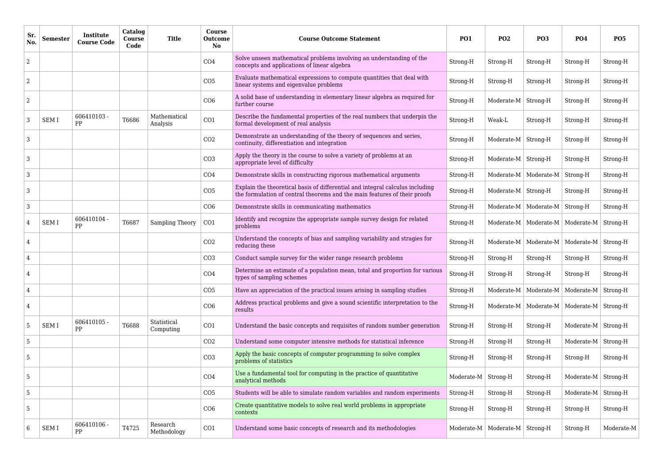| <b>Sr</b><br>No. | <b>Semester</b> | Institute<br><b>Course Code</b> | Catalog<br>Course<br>Code | <b>Title</b>             | Course<br><b>Outcome</b><br><b>No</b> | <b>Course Outcome Statement</b>                                                                                                                            | <b>PO1</b>     | <b>PO2</b>                         | <b>PO3</b>                                      | <b>PO4</b>                         | <b>PO5</b> |
|------------------|-----------------|---------------------------------|---------------------------|--------------------------|---------------------------------------|------------------------------------------------------------------------------------------------------------------------------------------------------------|----------------|------------------------------------|-------------------------------------------------|------------------------------------|------------|
| $\overline{2}$   |                 |                                 |                           |                          | CO <sub>4</sub>                       | Solve unseen mathematical problems involving an understanding of the<br>concepts and applications of linear algebra                                        | Strong-H       | Strong-H                           | Strong-H                                        | Strong-H                           | Strong-H   |
| $\overline{2}$   |                 |                                 |                           |                          | CO <sub>5</sub>                       | Evaluate mathematical expressions to compute quantities that deal with<br>linear systems and eigenvalue problems                                           | Strong-H       | Strong-H                           | Strong-H                                        | Strong-H                           | Strong-H   |
| $\overline{2}$   |                 |                                 |                           |                          | CO6                                   | A solid base of understanding in elementary linear algebra as required for<br>further course                                                               | Strong-H       | Moderate-M                         | Strong-H                                        | Strong-H                           | Strong-H   |
|                  | <b>SEMI</b>     | $606410103 -$<br>PP             | T6686                     | Mathematical<br>Analysis | CO1                                   | Describe the fundamental properties of the real numbers that underpin the<br>formal development of real analysis                                           | Strong-H       | Weak-L                             | Strong-H                                        | Strong-H                           | Strong-H   |
| 3                |                 |                                 |                           |                          | CO <sub>2</sub>                       | Demonstrate an understanding of the theory of sequences and series,<br>continuity, differentiation and integration                                         | Strong-H       | Moderate-M                         | Strong-H                                        | Strong-H                           | Strong-H   |
| 3                |                 |                                 |                           |                          | CO <sub>3</sub>                       | Apply the theory in the course to solve a variety of problems at an<br>appropriate level of difficulty                                                     | Strong-H       | Moderate-M                         | Strong-H                                        | Strong-H                           | Strong-H   |
| 3                |                 |                                 |                           |                          | CO <sub>4</sub>                       | Demonstrate skills in constructing rigorous mathematical arguments                                                                                         | Strong-H       |                                    | Moderate-M   Moderate-M   Strong-H              |                                    | Strong-H   |
| 3                |                 |                                 |                           |                          | CO <sub>5</sub>                       | Explain the theoretical basis of differential and integral calculus including<br>the formulation of central theorems and the main features of their proofs | Strong-H       | Moderate-M   Strong-H              |                                                 | Strong-H                           | Strong-H   |
| 3                |                 |                                 |                           |                          | CO6                                   | Demonstrate skills in communicating mathematics                                                                                                            | Strong-H       | Moderate-M                         | Moderate- $M$   Strong-H                        |                                    | Strong-H   |
| 4                | <b>SEMI</b>     | 606410104 -<br>PP               | T6687                     | Sampling Theory          | CO1                                   | Identify and recognize the appropriate sample survey design for related<br>problems                                                                        | Strong-H       |                                    | Moderate-M   Moderate-M   Moderate-M   Strong-H |                                    |            |
| $\overline{4}$   |                 |                                 |                           |                          | CO <sub>2</sub>                       | Understand the concepts of bias and sampling variability and stragies for<br>reducing these                                                                | Strong-H       | Moderate-M                         |                                                 | Moderate-M   Moderate-M   Strong-H |            |
| $\overline{4}$   |                 |                                 |                           |                          | CO <sub>3</sub>                       | Conduct sample survey for the wider range research problems                                                                                                | Strong-H       | Strong-H                           | Strong-H                                        | Strong-H                           | Strong-H   |
|                  |                 |                                 |                           |                          | CO <sub>4</sub>                       | Determine an estimate of a population mean, total and proportion for various<br>types of sampling schemes                                                  | Strong-H       | Strong-H                           | Strong-H                                        | Strong-H                           | Strong-H   |
| $\overline{4}$   |                 |                                 |                           |                          | CO <sub>5</sub>                       | Have an appreciation of the practical issues arising in sampling studies                                                                                   | Strong-H       | Moderate-M                         |                                                 | Moderate-M   Moderate-M            | Strong-H   |
| 4                |                 |                                 |                           |                          | CO6                                   | Address practical problems and give a sound scientific interpretation to the<br>results                                                                    | Strong-H       | Moderate-M                         | Moderate-M   Moderate-M   Strong-H              |                                    |            |
| 5                | <b>SEMI</b>     | $606410105 -$<br>PP             | T6688                     | Statistical<br>Computing | CO1                                   | Understand the basic concepts and requisites of random number generation                                                                                   | Strong-H       | Strong-H                           | Strong-H                                        | Moderate-M   Strong-H              |            |
| 5                |                 |                                 |                           |                          | CO <sub>2</sub>                       | Understand some computer intensive methods for statistical inference                                                                                       | Strong-H       | Strong-H                           | Strong-H                                        | Moderate-M $\vert$ Strong-H        |            |
| 5                |                 |                                 |                           |                          | CO <sub>3</sub>                       | Apply the basic concepts of computer programming to solve complex<br>problems of statistics                                                                | Strong-H       | Strong-H                           | Strong-H                                        | Strong-H                           | Strong-H   |
| 5                |                 |                                 |                           |                          | CO <sub>4</sub>                       | Use a fundamental tool for computing in the practice of quantitative<br>analytical methods                                                                 | Moderate-M $ $ | Strong-H                           | Strong-H                                        | Moderate- $M$ Strong-H             |            |
| 5                |                 |                                 |                           |                          | CO <sub>5</sub>                       | Students will be able to simulate random variables and random experiments                                                                                  | Strong-H       | Strong-H                           | Strong-H                                        | Moderate-M $ $                     | Strong-H   |
| 5                |                 |                                 |                           |                          | CO6                                   | Create quantitative models to solve real world problems in appropriate<br>contexts                                                                         | Strong-H       | Strong-H                           | Strong-H                                        | Strong-H                           | Strong-H   |
| 6                | SEM I           | $606410106 -$<br>PP             | T4725                     | Research<br>Methodology  | CO <sub>1</sub>                       | Understand some basic concepts of research and its methodologies                                                                                           |                | Moderate-M   Moderate-M   Strong-H |                                                 | Strong-H                           | Moderate-M |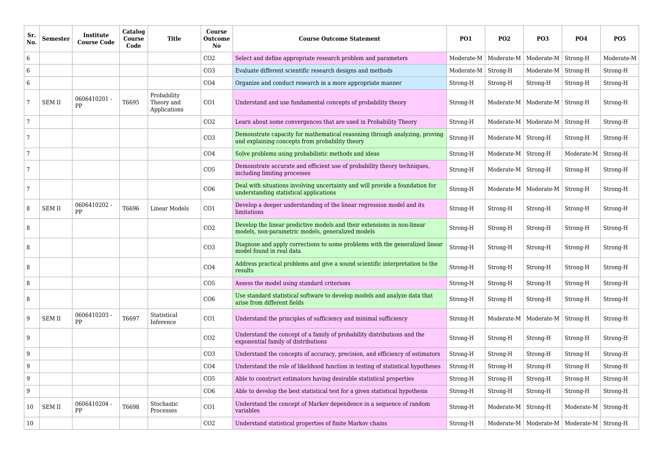| Sr.<br>No. | <b>Semester</b> | Institute<br><b>Course Code</b> | Catalog<br>Course<br>Code | <b>Title</b>                              | Course<br><b>Outcome</b><br><b>No</b> | <b>Course Outcome Statement</b>                                                                                               | <b>PO1</b>                  | <b>PO2</b>                   | <b>PO3</b>                         | <b>PO4</b>              | <b>PO5</b> |
|------------|-----------------|---------------------------------|---------------------------|-------------------------------------------|---------------------------------------|-------------------------------------------------------------------------------------------------------------------------------|-----------------------------|------------------------------|------------------------------------|-------------------------|------------|
| 6          |                 |                                 |                           |                                           | CO <sub>2</sub>                       | Select and define appropriate research problem and parameters                                                                 |                             | Moderate-M   Moderate-M      | Moderate-M $\vert$ Strong-H        |                         | Moderate-M |
| 6          |                 |                                 |                           |                                           | CO <sub>3</sub>                       | Evaluate different scientific research designs and methods                                                                    | Moderate-M $\vert$ Strong-H |                              | Moderate- $M \vert$ Strong-H       |                         | Strong-H   |
| 6          |                 |                                 |                           |                                           | CO <sub>4</sub>                       | Organize and conduct research in a more appropriate manner                                                                    | Strong-H                    | Strong-H                     | Strong-H                           | Strong-H                | Strong-H   |
|            | <b>SEM II</b>   | 0606410201 -<br>PP              | T6695                     | Probability<br>Theory and<br>Applications | CO <sub>1</sub>                       | Understand and use fundamental concepts of probability theory                                                                 | Strong-H                    |                              | Moderate-M   Moderate-M   Strong-H |                         | Strong-H   |
| 7          |                 |                                 |                           |                                           | CO <sub>2</sub>                       | Learn about some convergences that are used in Probability Theory                                                             | Strong-H                    | Moderate-M $ $               | Moderate-M $\vert$ Strong-H        |                         | Strong-H   |
| 7          |                 |                                 |                           |                                           | CO <sub>3</sub>                       | Demonstrate capacity for mathematical reasoning through analyzing, proving<br>and explaining concepts from probability theory | Strong-H                    | Moderate-M $ $               | Strong-H                           | Strong-H                | Strong-H   |
| 7          |                 |                                 |                           |                                           | CO <sub>4</sub>                       | Solve problems using probabilistic methods and ideas                                                                          | Strong-H                    | Moderate- $M \vert$ Strong-H |                                    | Moderate-M              | Strong-H   |
| 7          |                 |                                 |                           |                                           | CO <sub>5</sub>                       | Demonstrate accurate and efficient use of probability theory techniques,<br>including limiting processes                      | Strong-H                    | Moderate-M $ $               | Strong-H                           | Strong-H                | Strong-H   |
| 7          |                 |                                 |                           |                                           | CO6                                   | Deal with situations involving uncertainty and will provide a foundation for<br>understanding statistical applications        | Strong-H                    |                              | Moderate-M   Moderate-M   Strong-H |                         | Strong-H   |
| 8          | <b>SEM II</b>   | 0606410202 -<br>PP              | T6696                     | Linear Models                             | CO1                                   | Develop a deeper understanding of the linear regression model and its<br>limitations                                          | Strong-H                    | Strong-H                     | Strong-H                           | Strong-H                | Strong-H   |
| 8          |                 |                                 |                           |                                           | CO <sub>2</sub>                       | Develop the linear predictive models and their extensions in non-linear<br>models, non-parametric models, generalized models  | Strong-H                    | Strong-H                     | Strong-H                           | Strong-H                | Strong-H   |
| 8          |                 |                                 |                           |                                           | CO <sub>3</sub>                       | Diagnose and apply corrections to some problems with the generalized linear<br>model found in real data                       | Strong-H                    | Strong-H                     | Strong-H                           | Strong-H                | Strong-H   |
| 8          |                 |                                 |                           |                                           | CO <sub>4</sub>                       | Address practical problems and give a sound scientific interpretation to the<br>results                                       | Strong-H                    | Strong-H                     | Strong-H                           | Strong-H                | Strong-H   |
| 8          |                 |                                 |                           |                                           | CO <sub>5</sub>                       | Assess the model using standard criterions                                                                                    | Strong-H                    | Strong-H                     | Strong-H                           | Strong-H                | Strong-H   |
| 8          |                 |                                 |                           |                                           | CO6                                   | Use standard statistical software to develop models and analyze data that<br>arise from different fields                      | Strong-H                    | Strong-H                     | Strong-H                           | Strong-H                | Strong-H   |
| 9          | <b>SEM II</b>   | 0606410203 -<br>PP              | T6697                     | Statistical<br>Inference                  | CO1                                   | Understand the principles of sufficiency and minimal sufficiency                                                              | Strong-H                    | Moderate-M                   | Moderate-M $\vert$ Strong-H        |                         | Strong-H   |
| 9          |                 |                                 |                           |                                           | CO <sub>2</sub>                       | Understand the concept of a family of probability distributions and the<br>exponential family of distributions                | Strong-H                    | Strong-H                     | Strong-H                           | Strong-H                | Strong-H   |
| 9          |                 |                                 |                           |                                           | CO <sub>3</sub>                       | Understand the concepts of accuracy, precision, and efficiency of estimators                                                  | Strong-H                    | Strong-H                     | Strong-H                           | Strong-H                | Strong-H   |
| 9          |                 |                                 |                           |                                           | CO <sub>4</sub>                       | Understand the role of likelihood function in testing of statistical hypotheses                                               | Strong-H                    | Strong-H                     | Strong-H                           | Strong-H                | Strong-H   |
| 9          |                 |                                 |                           |                                           | CO <sub>5</sub>                       | Able to construct estimators having desirable statistical properties                                                          | Strong-H                    | Strong-H                     | Strong-H                           | Strong-H                | Strong-H   |
| 9          |                 |                                 |                           |                                           | CO6                                   | Able to develop the best statistical test for a given statistical hypothesis                                                  | Strong-H                    | Strong-H                     | Strong-H                           | Strong-H                | Strong-H   |
| 10         | <b>SEM II</b>   | 0606410204 -<br>PP              | T6698                     | Stochastic<br>Processes                   | CO1                                   | Understand the concept of Markov dependence in a sequence of random<br>variables                                              | Strong-H                    | Moderate-M $ $               | Strong-H                           | Moderate-M              | Strong-H   |
| 10         |                 |                                 |                           |                                           | CO <sub>2</sub>                       | Understand statistical properties of finite Markov chains                                                                     | Strong-H                    | Moderate-M $ $               |                                    | Moderate-M   Moderate-M | Strong-H   |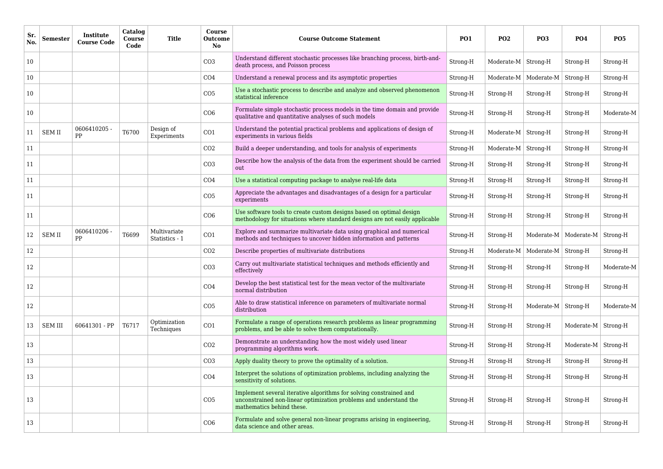| Sr<br>No. | <b>Semester</b> | Institute<br><b>Course Code</b> | Catalog<br>Course<br>Code | <b>Title</b>                   | Course<br><b>Outcome</b><br><b>No</b> | <b>Course Outcome Statement</b>                                                                                                                                      | <b>PO1</b> | <b>PO2</b> | <b>PO3</b>                  | <b>PO4</b>                         | <b>PO5</b> |
|-----------|-----------------|---------------------------------|---------------------------|--------------------------------|---------------------------------------|----------------------------------------------------------------------------------------------------------------------------------------------------------------------|------------|------------|-----------------------------|------------------------------------|------------|
| 10        |                 |                                 |                           |                                | CO <sub>3</sub>                       | Understand different stochastic processes like branching process, birth-and-<br>death process, and Poisson process                                                   | Strong-H   | Moderate-M | Strong-H                    | Strong-H                           | Strong-H   |
| 10        |                 |                                 |                           |                                | CO <sub>4</sub>                       | Understand a renewal process and its asymptotic properties                                                                                                           | Strong-H   | Moderate-M | Moderate-M $\vert$ Strong-H |                                    | Strong-H   |
| 10        |                 |                                 |                           |                                | CO <sub>5</sub>                       | Use a stochastic process to describe and analyze and observed phenomenon<br>statistical inference                                                                    | Strong-H   | Strong-H   | Strong-H                    | Strong-H                           | Strong-H   |
| 10        |                 |                                 |                           |                                | CO6                                   | Formulate simple stochastic process models in the time domain and provide<br>qualitative and quantitative analyses of such models                                    | Strong-H   | Strong-H   | Strong-H                    | Strong-H                           | Moderate-M |
| 11        | <b>SEM II</b>   | 0606410205 -<br>PP              | T6700                     | Design of<br>Experiments       | CO1                                   | Understand the potential practical problems and applications of design of<br>experiments in various fields                                                           | Strong-H   | Moderate-M | Strong-H                    | Strong-H                           | Strong-H   |
| 11        |                 |                                 |                           |                                | CO <sub>2</sub>                       | Build a deeper understanding, and tools for analysis of experiments                                                                                                  | Strong-H   | Moderate-M | Strong-H                    | Strong-H                           | Strong-H   |
| 11        |                 |                                 |                           |                                | CO <sub>3</sub>                       | Describe how the analysis of the data from the experiment should be carried<br>out                                                                                   | Strong-H   | Strong-H   | Strong-H                    | Strong-H                           | Strong-H   |
| 11        |                 |                                 |                           |                                | CO <sub>4</sub>                       | Use a statistical computing package to analyse real-life data                                                                                                        | Strong-H   | Strong-H   | Strong-H                    | Strong-H                           | Strong-H   |
| 11        |                 |                                 |                           |                                | CO <sub>5</sub>                       | Appreciate the advantages and disadvantages of a design for a particular<br>experiments                                                                              | Strong-H   | Strong-H   | Strong-H                    | Strong-H                           | Strong-H   |
| 11        |                 |                                 |                           |                                | CO6                                   | Use software tools to create custom designs based on optimal design<br>methodology for situations where standard designs are not easily applicable                   | Strong-H   | Strong-H   | Strong-H                    | Strong-H                           | Strong-H   |
| 12        | <b>SEM II</b>   | 0606410206 -<br>PP              | T6699                     | Multivariate<br>Statistics - 1 | CO1                                   | Explore and summarize multivariate data using graphical and numerical<br>methods and techniques to uncover hidden information and patterns                           | Strong-H   | Strong-H   |                             | Moderate-M   Moderate-M   Strong-H |            |
| 12        |                 |                                 |                           |                                | CO <sub>2</sub>                       | Describe properties of multivariate distributions                                                                                                                    | Strong-H   | Moderate-M | Moderate-M   Strong-H       |                                    | Strong-H   |
| 12        |                 |                                 |                           |                                | CO <sub>3</sub>                       | Carry out multivariate statistical techniques and methods efficiently and<br>effectively                                                                             | Strong-H   | Strong-H   | Strong-H                    | Strong-H                           | Moderate-M |
| 12        |                 |                                 |                           |                                | CO <sub>4</sub>                       | Develop the best statistical test for the mean vector of the multivariate<br>normal distribution                                                                     | Strong-H   | Strong-H   | Strong-H                    | Strong-H                           | Strong-H   |
| 12        |                 |                                 |                           |                                | CO <sub>5</sub>                       | Able to draw statistical inference on parameters of multivariate normal<br>distribution                                                                              | Strong-H   | Strong-H   | Moderate-M $\vert$ Strong-H |                                    | Moderate-M |
| 13        | <b>SEM III</b>  | 60641301 - PP                   | T6717                     | Optimization<br>Techniques     | CO1                                   | Formulate a range of operations research problems as linear programming<br>problems, and be able to solve them computationally.                                      | Strong-H   | Strong-H   | Strong-H                    | Moderate-M $\vert$ Strong-H        |            |
| 13        |                 |                                 |                           |                                | CO <sub>2</sub>                       | Demonstrate an understanding how the most widely used linear<br>programming algorithms work.                                                                         | Strong-H   | Strong-H   | Strong-H                    | Moderate-M $\vert$ Strong-H        |            |
| 13        |                 |                                 |                           |                                | CO <sub>3</sub>                       | Apply duality theory to prove the optimality of a solution.                                                                                                          | Strong-H   | Strong-H   | Strong-H                    | Strong-H                           | Strong-H   |
| 13        |                 |                                 |                           |                                | CO <sub>4</sub>                       | Interpret the solutions of optimization problems, including analyzing the<br>sensitivity of solutions.                                                               | Strong-H   | Strong-H   | Strong-H                    | Strong-H                           | Strong-H   |
| 13        |                 |                                 |                           |                                | CO <sub>5</sub>                       | Implement several iterative algorithms for solving constrained and<br>unconstrained non-linear optimization problems and understand the<br>mathematics behind these. | Strong-H   | Strong-H   | Strong-H                    | Strong-H                           | Strong-H   |
| 13        |                 |                                 |                           |                                | CO6                                   | Formulate and solve general non-linear programs arising in engineering,<br>data science and other areas.                                                             | Strong-H   | Strong-H   | Strong-H                    | Strong-H                           | Strong-H   |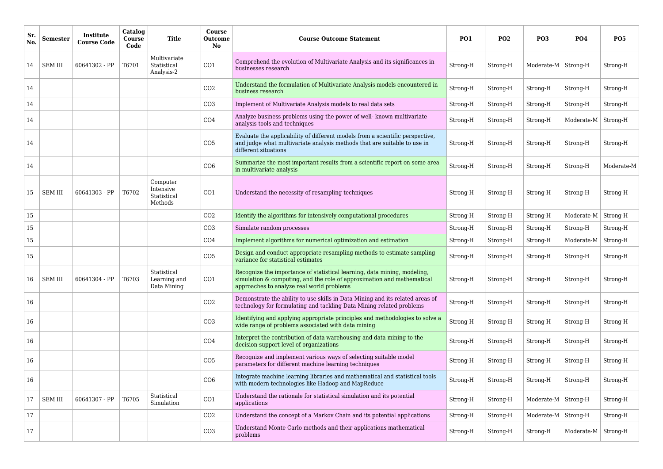| <b>Sr</b><br>No. | <b>Semester</b> | Institute<br><b>Course Code</b> | Catalog<br><b>Course</b><br>Code | <b>Title</b>                                    | Course<br><b>Outcome</b><br><b>No</b> | <b>Course Outcome Statement</b>                                                                                                                                                                 | <b>PO1</b> | <b>PO2</b> | <b>PO3</b>                  | <b>PO4</b>             | <b>PO5</b> |
|------------------|-----------------|---------------------------------|----------------------------------|-------------------------------------------------|---------------------------------------|-------------------------------------------------------------------------------------------------------------------------------------------------------------------------------------------------|------------|------------|-----------------------------|------------------------|------------|
| 14               | <b>SEM III</b>  | 60641302 - PP                   | T6701                            | Multivariate<br>Statistical<br>Analysis-2       | CO1                                   | Comprehend the evolution of Multivariate Analysis and its significances in<br>businesses research                                                                                               | Strong-H   | Strong-H   | Moderate-M   Strong-H       |                        | Strong-H   |
| 14               |                 |                                 |                                  |                                                 | CO <sub>2</sub>                       | Understand the formulation of Multivariate Analysis models encountered in<br>business research                                                                                                  | Strong-H   | Strong-H   | Strong-H                    | Strong-H               | Strong-H   |
| 14               |                 |                                 |                                  |                                                 | CO <sub>3</sub>                       | Implement of Multivariate Analysis models to real data sets                                                                                                                                     | Strong-H   | Strong-H   | Strong-H                    | Strong-H               | Strong-H   |
| 14               |                 |                                 |                                  |                                                 | CO <sub>4</sub>                       | Analyze business problems using the power of well- known multivariate<br>analysis tools and techniques                                                                                          | Strong-H   | Strong-H   | Strong-H                    | Moderate-M             | Strong-H   |
| 14               |                 |                                 |                                  |                                                 | CO <sub>5</sub>                       | Evaluate the applicability of different models from a scientific perspective,<br>and judge what multivariate analysis methods that are suitable to use in<br>different situations               | Strong-H   | Strong-H   | Strong-H                    | Strong-H               | Strong-H   |
| 14               |                 |                                 |                                  |                                                 | CO6                                   | Summarize the most important results from a scientific report on some area<br>in multivariate analysis                                                                                          | Strong-H   | Strong-H   | Strong-H                    | Strong-H               | Moderate-M |
| 15               | <b>SEM III</b>  | 60641303 - PP                   | T6702                            | Computer<br>Intensive<br>Statistical<br>Methods | CO1                                   | Understand the necessity of resampling techniques                                                                                                                                               | Strong-H   | Strong-H   | Strong-H                    | Strong-H               | Strong-H   |
| 15               |                 |                                 |                                  |                                                 | CO <sub>2</sub>                       | Identify the algorithms for intensively computational procedures                                                                                                                                | Strong-H   | Strong-H   | Strong-H                    | Moderate-M             | Strong-H   |
| 15               |                 |                                 |                                  |                                                 | CO <sub>3</sub>                       | Simulate random processes                                                                                                                                                                       | Strong-H   | Strong-H   | Strong-H                    | Strong-H               | Strong-H   |
| 15               |                 |                                 |                                  |                                                 | CO <sub>4</sub>                       | Implement algorithms for numerical optimization and estimation                                                                                                                                  | Strong-H   | Strong-H   | Strong-H                    | Moderate-M             | Strong-H   |
| 15               |                 |                                 |                                  |                                                 | CO <sub>5</sub>                       | Design and conduct appropriate resampling methods to estimate sampling<br>variance for statistical estimates                                                                                    | Strong-H   | Strong-H   | Strong-H                    | Strong-H               | Strong-H   |
| 16               | <b>SEM III</b>  | 60641304 - PP                   | T6703                            | Statistical<br>Learning and<br>Data Mining      | CO1                                   | Recognize the importance of statistical learning, data mining, modeling,<br>simulation & computing, and the role of approximation and mathematical<br>approaches to analyze real world problems | Strong-H   | Strong-H   | Strong-H                    | Strong-H               | Strong-H   |
| 16               |                 |                                 |                                  |                                                 | CO <sub>2</sub>                       | Demonstrate the ability to use skills in Data Mining and its related areas of<br>technology for formulating and tackling Data Mining related problems                                           | Strong-H   | Strong-H   | Strong-H                    | Strong-H               | Strong-H   |
| 16               |                 |                                 |                                  |                                                 | CO <sub>3</sub>                       | Identifying and applying appropriate principles and methodologies to solve a<br>wide range of problems associated with data mining                                                              | Strong-H   | Strong-H   | Strong-H                    | Strong-H               | Strong-H   |
| 16               |                 |                                 |                                  |                                                 | CO <sub>4</sub>                       | Interpret the contribution of data warehousing and data mining to the<br>decision-support level of organizations                                                                                | Strong-H   | Strong-H   | Strong-H                    | Strong-H               | Strong-H   |
| 16               |                 |                                 |                                  |                                                 | CO <sub>5</sub>                       | Recognize and implement various ways of selecting suitable model<br>parameters for different machine learning techniques                                                                        | Strong-H   | Strong-H   | Strong-H                    | Strong-H               | Strong-H   |
| 16               |                 |                                 |                                  |                                                 | CO6                                   | Integrate machine learning libraries and mathematical and statistical tools<br>with modern technologies like Hadoop and MapReduce                                                               | Strong-H   | Strong-H   | Strong-H                    | Strong-H               | Strong-H   |
| 17               | <b>SEM III</b>  | 60641307 - PP                   | T6705                            | Statistical<br>Simulation                       | CO <sub>1</sub>                       | Understand the rationale for statistical simulation and its potential<br>applications                                                                                                           | Strong-H   | Strong-H   | Moderate- $M$ Strong-H      |                        | Strong-H   |
| 17               |                 |                                 |                                  |                                                 | CO <sub>2</sub>                       | Understand the concept of a Markov Chain and its potential applications                                                                                                                         | Strong-H   | Strong-H   | Moderate-M $\vert$ Strong-H |                        | Strong-H   |
| 17               |                 |                                 |                                  |                                                 | CO <sub>3</sub>                       | Understand Monte Carlo methods and their applications mathematical<br>problems                                                                                                                  | Strong-H   | Strong-H   | Strong-H                    | Moderate- $M$ Strong-H |            |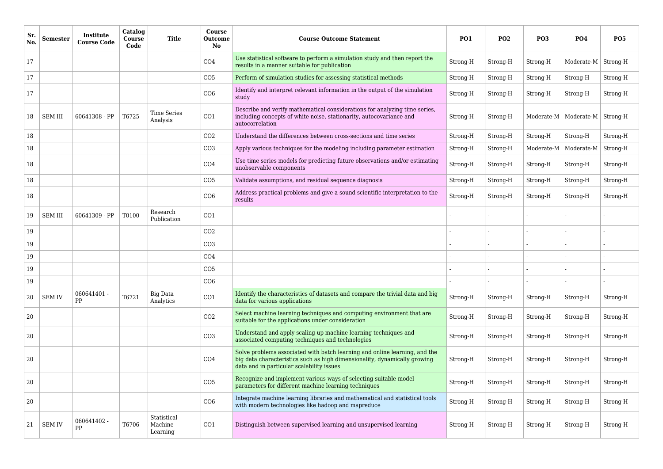| Sr.<br>No. | <b>Semester</b> | Institute<br><b>Course Code</b> | Catalog<br><b>Course</b><br>Code | <b>Title</b>                       | Course<br><b>Outcome</b><br>N <sub>o</sub> | <b>Course Outcome Statement</b>                                                                                                                                                                      | <b>PO1</b> | <b>PO2</b> | <b>PO3</b> | <b>PO4</b>              | <b>PO5</b> |
|------------|-----------------|---------------------------------|----------------------------------|------------------------------------|--------------------------------------------|------------------------------------------------------------------------------------------------------------------------------------------------------------------------------------------------------|------------|------------|------------|-------------------------|------------|
| 17         |                 |                                 |                                  |                                    | CO <sub>4</sub>                            | Use statistical software to perform a simulation study and then report the<br>results in a manner suitable for publication                                                                           | Strong-H   | Strong-H   | Strong-H   | Moderate-M $ $ Strong-H |            |
| 17         |                 |                                 |                                  |                                    | CO <sub>5</sub>                            | Perform of simulation studies for assessing statistical methods                                                                                                                                      | Strong-H   | Strong-H   | Strong-H   | Strong-H                | Strong-H   |
| 17         |                 |                                 |                                  |                                    | CO6                                        | Identify and interpret relevant information in the output of the simulation<br>study                                                                                                                 | Strong-H   | Strong-H   | Strong-H   | Strong-H                | Strong-H   |
| 18         | <b>SEM III</b>  | 60641308 - PP                   | T6725                            | <b>Time Series</b><br>Analysis     | CO <sub>1</sub>                            | Describe and verify mathematical considerations for analyzing time series,<br>including concepts of white noise, stationarity, autocovariance and<br>autocorrelation                                 | Strong-H   | Strong-H   |            | Moderate-M   Moderate-M | Strong-H   |
| 18         |                 |                                 |                                  |                                    | CO <sub>2</sub>                            | Understand the differences between cross-sections and time series                                                                                                                                    | Strong-H   | Strong-H   | Strong-H   | Strong-H                | Strong-H   |
| 18         |                 |                                 |                                  |                                    | CO <sub>3</sub>                            | Apply various techniques for the modeling including parameter estimation                                                                                                                             | Strong-H   | Strong-H   | Moderate-M | Moderate-M              | Strong-H   |
| 18         |                 |                                 |                                  |                                    | CO <sub>4</sub>                            | Use time series models for predicting future observations and/or estimating<br>unobservable components                                                                                               | Strong-H   | Strong-H   | Strong-H   | Strong-H                | Strong-H   |
| 18         |                 |                                 |                                  |                                    | CO <sub>5</sub>                            | Validate assumptions, and residual sequence diagnosis                                                                                                                                                | Strong-H   | Strong-H   | Strong-H   | Strong-H                | Strong-H   |
| 18         |                 |                                 |                                  |                                    | CO6                                        | Address practical problems and give a sound scientific interpretation to the<br>results                                                                                                              | Strong-H   | Strong-H   | Strong-H   | Strong-H                | Strong-H   |
| 19         | <b>SEM III</b>  | 60641309 - PP                   | T0100                            | Research<br>Publication            | CO <sub>1</sub>                            |                                                                                                                                                                                                      |            |            |            |                         |            |
| 19         |                 |                                 |                                  |                                    | CO <sub>2</sub>                            |                                                                                                                                                                                                      |            |            | ٠          |                         |            |
| 19         |                 |                                 |                                  |                                    | CO <sub>3</sub>                            |                                                                                                                                                                                                      |            |            |            |                         |            |
| 19         |                 |                                 |                                  |                                    | CO <sub>4</sub>                            |                                                                                                                                                                                                      |            |            |            |                         |            |
| 19         |                 |                                 |                                  |                                    | CO <sub>5</sub>                            |                                                                                                                                                                                                      |            |            |            |                         |            |
| 19         |                 |                                 |                                  |                                    | CO6                                        |                                                                                                                                                                                                      |            |            |            |                         |            |
| 20         | <b>SEM IV</b>   | 060641401 -<br>PP               | T6721                            | Big Data<br>Analytics              | CO <sub>1</sub>                            | Identify the characteristics of datasets and compare the trivial data and big<br>data for various applications                                                                                       | Strong-H   | Strong-H   | Strong-H   | Strong-H                | Strong-H   |
| 20         |                 |                                 |                                  |                                    | CO <sub>2</sub>                            | Select machine learning techniques and computing environment that are<br>suitable for the applications under consideration                                                                           | Strong-H   | Strong-H   | Strong-H   | Strong-H                | Strong-H   |
| 20         |                 |                                 |                                  |                                    | CO <sub>3</sub>                            | Understand and apply scaling up machine learning techniques and<br>associated computing techniques and technologies                                                                                  | Strong-H   | Strong-H   | Strong-H   | Strong-H                | Strong-H   |
| 20         |                 |                                 |                                  |                                    | CO <sub>4</sub>                            | Solve problems associated with batch learning and online learning, and the<br>big data characteristics such as high dimensionality, dynamically growing<br>data and in particular scalability issues | Strong-H   | Strong-H   | Strong-H   | Strong-H                | Strong-H   |
| 20         |                 |                                 |                                  |                                    | CO <sub>5</sub>                            | Recognize and implement various ways of selecting suitable model<br>parameters for different machine learning techniques                                                                             | Strong-H   | Strong-H   | Strong-H   | Strong-H                | Strong-H   |
| 20         |                 |                                 |                                  |                                    | CO6                                        | Integrate machine learning libraries and mathematical and statistical tools<br>with modern technologies like hadoop and mapreduce                                                                    | Strong-H   | Strong-H   | Strong-H   | Strong-H                | Strong-H   |
| 21         | <b>SEM IV</b>   | 060641402 -<br>PP               | T6706                            | Statistical<br>Machine<br>Learning | CO1                                        | Distinguish between supervised learning and unsupervised learning                                                                                                                                    | Strong-H   | Strong-H   | Strong-H   | Strong-H                | Strong-H   |